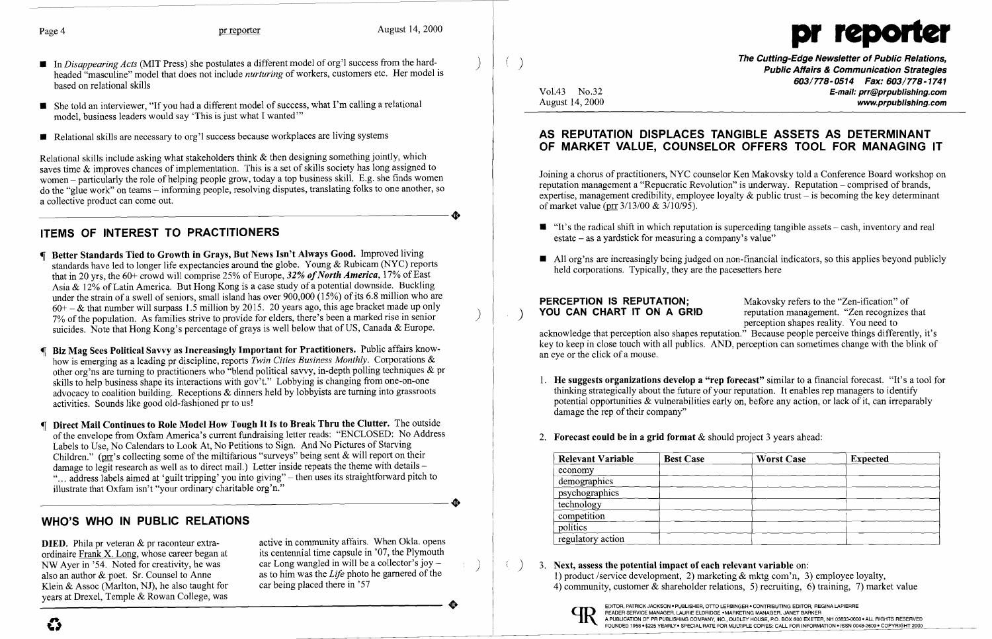- In *Disappearing Acts* (MIT Press) she postulates a different model of org'l success from the hardheaded "masculine" model that does not include *nurturing* of workers, customers etc. Her model is based on relational skills
- She told an interviewer, "If you had a different model of success, what I'm calling a relational model, business leaders would say 'This is just what I wanted'"
- Relational skills are necessary to org'l success because workplaces are living systems

Relational skills include asking what stakeholders think & then designing something jointly, which saves time & improves chances of implementation. This is a set of skills society has long assigned to women - particularly the role of helping people grow, today a top business skill. E.g. she finds women do the "glue work" on teams – informing people, resolving disputes, translating folks to one another, so a collective product can come out. a collective product can come out.

## ITEMS OF INTEREST TO PRACTITIONERS

**DIED.** Phila pr veteran  $\&$  pr raconteur extra-<br>
ordinaire Frank X. Long, whose career began at its centennial time capsule in '07, the Plymouth ordinaire Frank X. Long, whose career began at NW Ayer in '54. Noted for creativity, he was also an author & poet. Sr. Counsel to Anne Klein & Assoc (Marlton, NJ), he also taught for car being placed there in '57 years at Drexel, Temple & Rowan College, was

car Long wangled in will be a collector's joy  $$ as to him was the *Life* photo he garnered of the •  $( )$ 

Joining a chorus of practitioners, NYC counselor Ken Makovsky told a Conference Board workshop on reputation management a "Repucratic Revolution" is underway. Reputation – comprised of brands, expertise, management credibility, employee loyalty  $\&$  public trust – is becoming the key determinant of market value (prr  $3/13/00 \& 3/10/95$ ).

- Better Standards Tied to Growth in Grays, But News Isn't Always Good. Improved living standards have led to longer life expectancies around the globe. Young & Rubicam (NYC) reports that in 20 yrs, the 60+ crowd will comprise 25% of Europe, 32% of North America, 17% of East Asia & 12% of Latin America. But Hong Kong is a case study of a potential downside. Buckling under the strain of a swell of seniors, small island has over  $900,000$  (15%) of its 6.8 million who are  $60+ -$  & that number will surpass 1.5 million by 2015. 20 years ago, this age bracket made up only 7% of the population. As families strive to provide for elders, there's been a marked rise in senior suicides. Note that Hong Kong's percentage of grays is well below that of US, Canada & Europe.
- Biz Mag Sees Political Savvy as Increasingly Important for Practitioners. Public affairs knowhow is emerging as a leading pr discipline, reports *Twin Cities Business Monthly.* Corporations & other org'ns are turning to practitioners who "blend political savvy, in-depth polling techniques & pr skills to help business shape its interactions with gov't." Lobbying is changing from one-on-one advocacy to coalition building. Receptions & dinners held by lobbyists are turning into grassroots activities. Sounds like good old-fashioned pr to us!
- Direct Mail Continues to Role Model How Tough It Is to Break Thru the Clutter. The outside of the envelope from Oxfam America's current fundraising letter reads: "ENCLOSED: No Address Labels to Use, No Calendars to Look At, No Petitions to Sign. And No Pictures of Starving Children." (prr's collecting some of the miltifarious "surveys" being sent & will report on their damage to legit research as well as to direct mail.) Letter inside repeats the theme with details -"... address labels aimed at 'guilt tripping' you into giving" - then uses its straightforward pitch to illustrate that Oxfam isn't "your ordinary charitable org'n." illustrate that Oxfam isn't "your ordinary charitable org'n."

**PERCEPTION IS REPUTATION;** Makovsky refers to the "Zen-ification" of YOU CAN CHART IT ON A GRID reputation management. "Zen recognizes" reputation management. "Zen recognizes that perception shapes reality. You need to acknowledge that perception also shapes reputation." Because people perceive things differently, it's key to keep in close touch with all publics. AND, perception can sometimes change with the blink of an eye or the click of a mouse.

- damage the rep of their company"
- 2. Forecast could be in a grid format  $&$  should project 3 years ahead:

 $($   $)$  3. Next, assess the potential impact of each relevant variable on: 1) product /service development, 2) marketing & mktg com'n, 3) employee loyalty, 4) community, customer & shareholder relations, 5) recruiting, 6) training, 7) market value

## WHO'S WHO IN PUBLIC RELATIONS

(}



Vol.43 No.32 August 14, 2000 The Cutting-Edge Newsletter of Public Relations, Public Affairs & Communication Strategies 603/778-0514 Fax: 603/778-1741 E-mail: prr@prpublishlng.com www.prpublishing.com

 $\blacksquare$  "It's the radical shift in which reputation is superceding tangible assets – cash, inventory and real

 $\blacksquare$  All org'ns are increasingly being judged on non-financial indicators, so this applies beyond publicly

### AS REPUTATION DISPLACES TANGIBLE ASSETS AS DETERMINANT OF MARKET VALUE, COUNSELOR OFFERS TOOL FOR MANAGING IT

- estate as a yardstick for measuring a company's value"
- held corporations. Typically, they are the pacesetters here

1. He suggests organizations develop a "rep forecast" similar to a financial forecast. "It's a tool for thinking strategically about the future of your reputation. It enables rep managers to identify potential opportunities & vulnerabilities early on, before any action, or lack of it, can irreparably

| <b>Relevant Variable</b> | <b>Best Case</b> | <b>Worst Case</b> | <b>Expected</b> |
|--------------------------|------------------|-------------------|-----------------|
| economy                  |                  |                   |                 |
| demographics             |                  |                   |                 |
| psychographics           |                  |                   |                 |
| technology               |                  |                   |                 |
| competition              |                  |                   |                 |
| politics                 |                  |                   |                 |
| regulatory action        |                  |                   |                 |